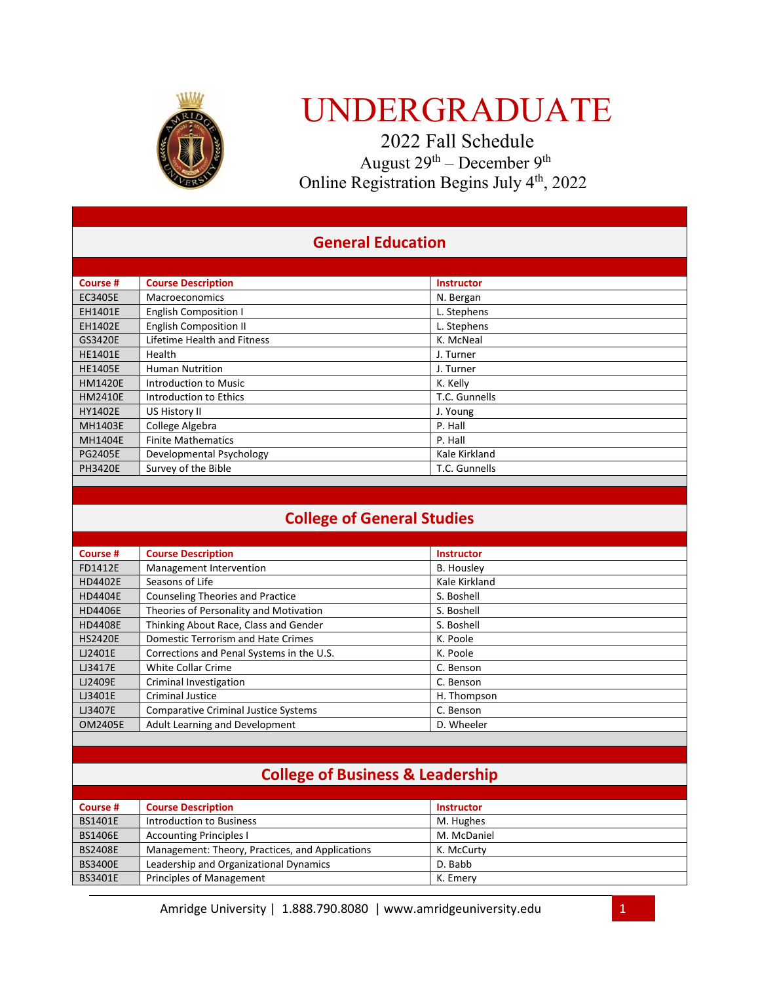

# UNDERGRADUATE

 2022 Fall Schedule August 29th – December 9th Online Registration Begins July 4<sup>th</sup>, 2022

### **General Education**

| Course #       | <b>Course Description</b>     | <b>Instructor</b> |
|----------------|-------------------------------|-------------------|
| EC3405E        | Macroeconomics                | N. Bergan         |
| EH1401E        | <b>English Composition I</b>  | L. Stephens       |
| EH1402E        | <b>English Composition II</b> | L. Stephens       |
| GS3420E        | Lifetime Health and Fitness   | K. McNeal         |
| <b>HE1401E</b> | Health                        | J. Turner         |
| <b>HE1405E</b> | <b>Human Nutrition</b>        | J. Turner         |
| <b>HM1420E</b> | Introduction to Music         | K. Kelly          |
| <b>HM2410E</b> | Introduction to Ethics        | T.C. Gunnells     |
| <b>HY1402E</b> | US History II                 | J. Young          |
| <b>MH1403E</b> | College Algebra               | P. Hall           |
| MH1404E        | <b>Finite Mathematics</b>     | P. Hall           |
| <b>PG2405E</b> | Developmental Psychology      | Kale Kirkland     |
| <b>PH3420E</b> | Survey of the Bible           | T.C. Gunnells     |

### **College of General Studies**

| Course #       | <b>Course Description</b>                   | <b>Instructor</b> |
|----------------|---------------------------------------------|-------------------|
| FD1412E        | Management Intervention                     | B. Housley        |
| <b>HD4402E</b> | Seasons of Life                             | Kale Kirkland     |
| <b>HD4404E</b> | <b>Counseling Theories and Practice</b>     | S. Boshell        |
| <b>HD4406E</b> | Theories of Personality and Motivation      | S. Boshell        |
| <b>HD4408E</b> | Thinking About Race, Class and Gender       | S. Boshell        |
| <b>HS2420E</b> | Domestic Terrorism and Hate Crimes          | K. Poole          |
| LJ2401E        | Corrections and Penal Systems in the U.S.   | K. Poole          |
| LJ3417E        | White Collar Crime                          | C. Benson         |
| LJ2409E        | Criminal Investigation                      | C. Benson         |
| LJ3401E        | <b>Criminal Justice</b>                     | H. Thompson       |
| LJ3407E        | <b>Comparative Criminal Justice Systems</b> | C. Benson         |
| <b>OM2405E</b> | Adult Learning and Development              | D. Wheeler        |

## **College of Business & Leadership**

| Course #       | <b>Course Description</b>                       | <b>Instructor</b> |
|----------------|-------------------------------------------------|-------------------|
| <b>BS1401E</b> | Introduction to Business                        | M. Hughes         |
| <b>BS1406E</b> | <b>Accounting Principles I</b>                  | M. McDaniel       |
| <b>BS2408E</b> | Management: Theory, Practices, and Applications | K. McCurty        |
| <b>BS3400E</b> | Leadership and Organizational Dynamics          | D. Babb           |
| <b>BS3401E</b> | <b>Principles of Management</b>                 | K. Emery          |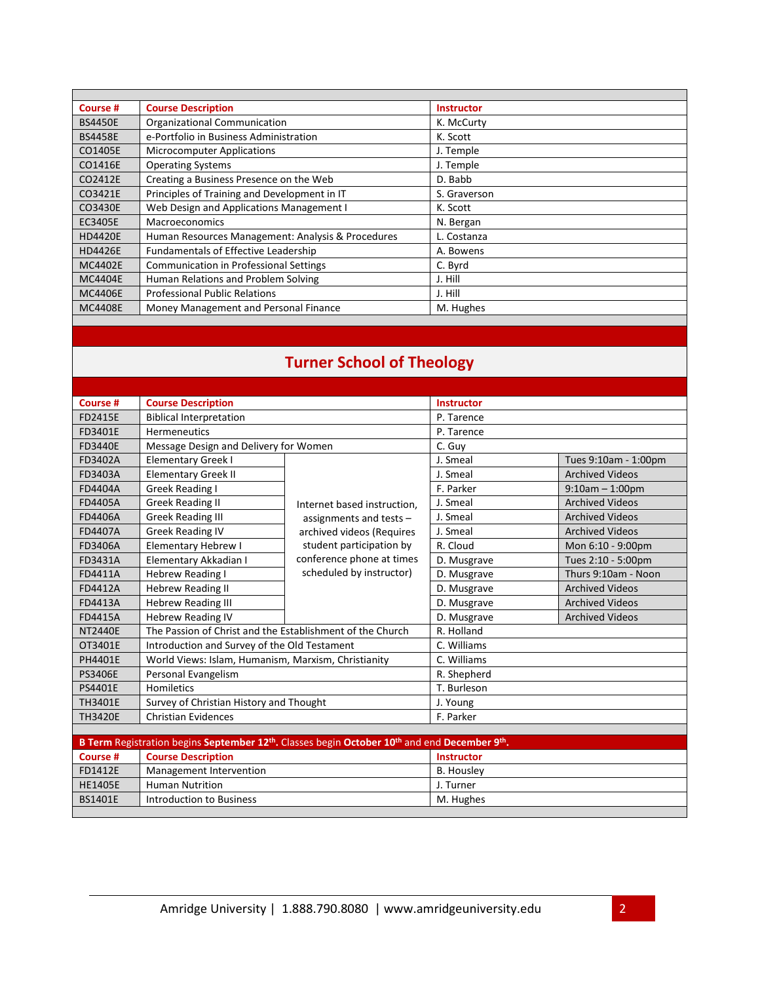| Course #       | <b>Course Description</b>                         | <b>Instructor</b> |
|----------------|---------------------------------------------------|-------------------|
| <b>BS4450E</b> | <b>Organizational Communication</b>               | K. McCurty        |
| <b>BS4458E</b> | e-Portfolio in Business Administration            | K. Scott          |
| CO1405E        | <b>Microcomputer Applications</b>                 | J. Temple         |
| CO1416E        | <b>Operating Systems</b>                          | J. Temple         |
| CO2412E        | Creating a Business Presence on the Web           | D. Babb           |
| CO3421E        | Principles of Training and Development in IT      | S. Graverson      |
| CO3430E        | Web Design and Applications Management I          | K. Scott          |
| EC3405E        | Macroeconomics                                    | N. Bergan         |
| <b>HD4420E</b> | Human Resources Management: Analysis & Procedures | L. Costanza       |
| <b>HD4426E</b> | <b>Fundamentals of Effective Leadership</b>       | A. Bowens         |
| <b>MC4402E</b> | <b>Communication in Professional Settings</b>     | C. Byrd           |
| <b>MC4404E</b> | Human Relations and Problem Solving               | J. Hill           |
| <b>MC4406E</b> | <b>Professional Public Relations</b>              | J. Hill           |
| <b>MC4408E</b> | Money Management and Personal Finance             | M. Hughes         |
|                |                                                   |                   |

## **Turner School of Theology**

| Course #                                                                                                                          | <b>Course Description</b>                                 |                             | <b>Instructor</b> |                        |
|-----------------------------------------------------------------------------------------------------------------------------------|-----------------------------------------------------------|-----------------------------|-------------------|------------------------|
| <b>FD2415E</b>                                                                                                                    | <b>Biblical Interpretation</b>                            |                             | P. Tarence        |                        |
| FD3401E                                                                                                                           | <b>Hermeneutics</b>                                       |                             | P. Tarence        |                        |
| <b>FD3440E</b>                                                                                                                    | Message Design and Delivery for Women                     |                             | C. Guy            |                        |
| FD3402A                                                                                                                           | <b>Elementary Greek I</b>                                 |                             | J. Smeal          | Tues 9:10am - 1:00pm   |
| FD3403A                                                                                                                           | <b>Elementary Greek II</b>                                |                             | J. Smeal          | <b>Archived Videos</b> |
| <b>FD4404A</b>                                                                                                                    | Greek Reading I                                           |                             | F. Parker         | $9:10am - 1:00pm$      |
| <b>FD4405A</b>                                                                                                                    | <b>Greek Reading II</b>                                   | Internet based instruction, | J. Smeal          | <b>Archived Videos</b> |
| <b>FD4406A</b>                                                                                                                    | <b>Greek Reading III</b>                                  | assignments and tests -     | J. Smeal          | <b>Archived Videos</b> |
| <b>FD4407A</b>                                                                                                                    | <b>Greek Reading IV</b>                                   | archived videos (Requires   | J. Smeal          | <b>Archived Videos</b> |
| <b>FD3406A</b>                                                                                                                    | <b>Elementary Hebrew I</b>                                | student participation by    | R. Cloud          | Mon 6:10 - 9:00pm      |
| FD3431A                                                                                                                           | Elementary Akkadian I                                     | conference phone at times   | D. Musgrave       | Tues 2:10 - 5:00pm     |
| FD4411A                                                                                                                           | <b>Hebrew Reading I</b>                                   | scheduled by instructor)    | D. Musgrave       | Thurs 9:10am - Noon    |
| <b>FD4412A</b>                                                                                                                    | <b>Hebrew Reading II</b>                                  |                             | D. Musgrave       | <b>Archived Videos</b> |
| FD4413A                                                                                                                           | <b>Hebrew Reading III</b>                                 |                             | D. Musgrave       | <b>Archived Videos</b> |
| <b>FD4415A</b>                                                                                                                    | <b>Hebrew Reading IV</b>                                  |                             | D. Musgrave       | <b>Archived Videos</b> |
| <b>NT2440E</b>                                                                                                                    | The Passion of Christ and the Establishment of the Church |                             | R. Holland        |                        |
| OT3401E                                                                                                                           | Introduction and Survey of the Old Testament              |                             | C. Williams       |                        |
| PH4401E                                                                                                                           | World Views: Islam, Humanism, Marxism, Christianity       |                             | C. Williams       |                        |
| <b>PS3406E</b>                                                                                                                    | Personal Evangelism                                       |                             | R. Shepherd       |                        |
| PS4401E                                                                                                                           | Homiletics                                                |                             | T. Burleson       |                        |
| TH3401E                                                                                                                           | Survey of Christian History and Thought                   |                             | J. Young          |                        |
| <b>TH3420E</b>                                                                                                                    | <b>Christian Evidences</b>                                |                             | F. Parker         |                        |
|                                                                                                                                   |                                                           |                             |                   |                        |
| B Term Registration begins September 12 <sup>th</sup> . Classes begin October 10 <sup>th</sup> and end December 9 <sup>th</sup> . |                                                           |                             |                   |                        |
| Course #                                                                                                                          | <b>Course Description</b>                                 |                             | <b>Instructor</b> |                        |
| FD1412E                                                                                                                           | Management Intervention                                   |                             | <b>B.</b> Housley |                        |
| <b>HE1405E</b>                                                                                                                    | <b>Human Nutrition</b>                                    |                             | J. Turner         |                        |
| <b>BS1401E</b>                                                                                                                    | Introduction to Business                                  |                             | M. Hughes         |                        |

Introduction to Business M. Hughes M. Hughes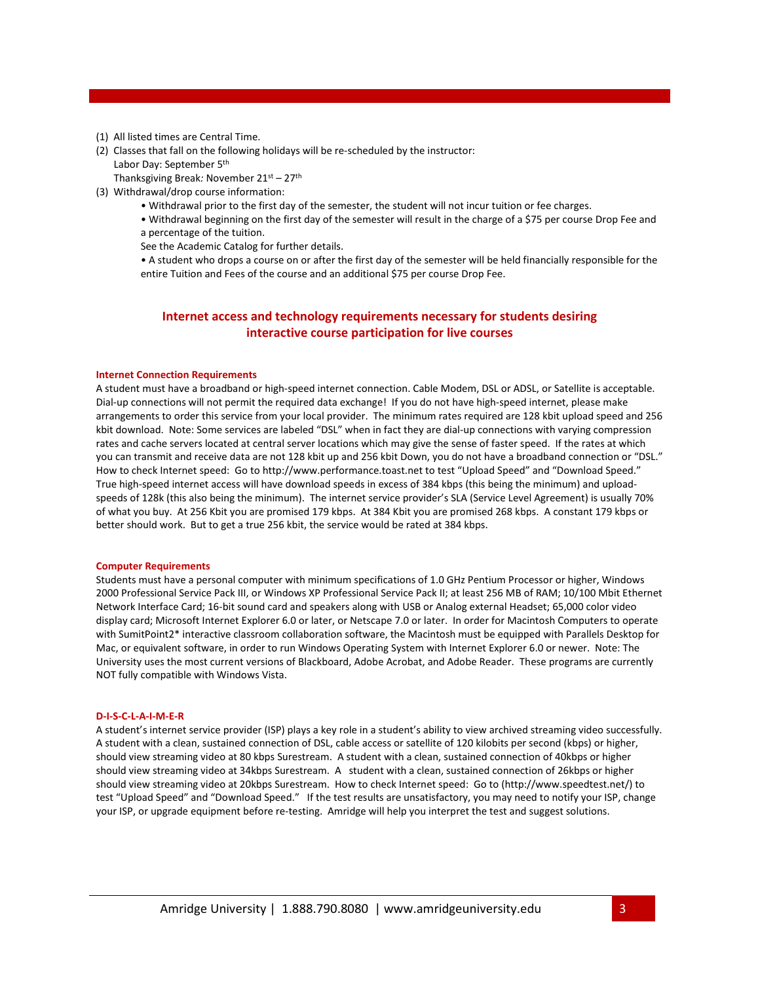- (1) All listed times are Central Time.
- (2) Classes that fall on the following holidays will be re-scheduled by the instructor:

Labor Day: September 5th

Thanksgiving Break*:* November 21st – 27th

- (3) Withdrawal/drop course information:
	- Withdrawal prior to the first day of the semester, the student will not incur tuition or fee charges.
	- Withdrawal beginning on the first day of the semester will result in the charge of a \$75 per course Drop Fee and a percentage of the tuition.

See the Academic Catalog for further details.

• A student who drops a course on or after the first day of the semester will be held financially responsible for the entire Tuition and Fees of the course and an additional \$75 per course Drop Fee.

#### **Internet access and technology requirements necessary for students desiring interactive course participation for live courses**

#### **Internet Connection Requirements**

A student must have a broadband or high-speed internet connection. Cable Modem, DSL or ADSL, or Satellite is acceptable. Dial-up connections will not permit the required data exchange! If you do not have high-speed internet, please make arrangements to order this service from your local provider. The minimum rates required are 128 kbit upload speed and 256 kbit download. Note: Some services are labeled "DSL" when in fact they are dial-up connections with varying compression rates and cache servers located at central server locations which may give the sense of faster speed. If the rates at which you can transmit and receive data are not 128 kbit up and 256 kbit Down, you do not have a broadband connection or "DSL." How to check Internet speed: Go to http://www.performance.toast.net to test "Upload Speed" and "Download Speed." True high-speed internet access will have download speeds in excess of 384 kbps (this being the minimum) and uploadspeeds of 128k (this also being the minimum). The internet service provider's SLA (Service Level Agreement) is usually 70% of what you buy. At 256 Kbit you are promised 179 kbps. At 384 Kbit you are promised 268 kbps. A constant 179 kbps or better should work. But to get a true 256 kbit, the service would be rated at 384 kbps.

#### **Computer Requirements**

Students must have a personal computer with minimum specifications of 1.0 GHz Pentium Processor or higher, Windows 2000 Professional Service Pack III, or Windows XP Professional Service Pack II; at least 256 MB of RAM; 10/100 Mbit Ethernet Network Interface Card; 16-bit sound card and speakers along with USB or Analog external Headset; 65,000 color video display card; Microsoft Internet Explorer 6.0 or later, or Netscape 7.0 or later. In order for Macintosh Computers to operate with SumitPoint2\* interactive classroom collaboration software, the Macintosh must be equipped with Parallels Desktop for Mac, or equivalent software, in order to run Windows Operating System with Internet Explorer 6.0 or newer. Note: The University uses the most current versions of Blackboard, Adobe Acrobat, and Adobe Reader. These programs are currently NOT fully compatible with Windows Vista.

#### **D-I-S-C-L-A-I-M-E-R**

A student's internet service provider (ISP) plays a key role in a student's ability to view archived streaming video successfully. A student with a clean, sustained connection of DSL, cable access or satellite of 120 kilobits per second (kbps) or higher, should view streaming video at 80 kbps Surestream. A student with a clean, sustained connection of 40kbps or higher should view streaming video at 34kbps Surestream. A student with a clean, sustained connection of 26kbps or higher should view streaming video at 20kbps Surestream. How to check Internet speed: Go to (http://www.speedtest.net/) to test "Upload Speed" and "Download Speed." If the test results are unsatisfactory, you may need to notify your ISP, change your ISP, or upgrade equipment before re-testing. Amridge will help you interpret the test and suggest solutions.